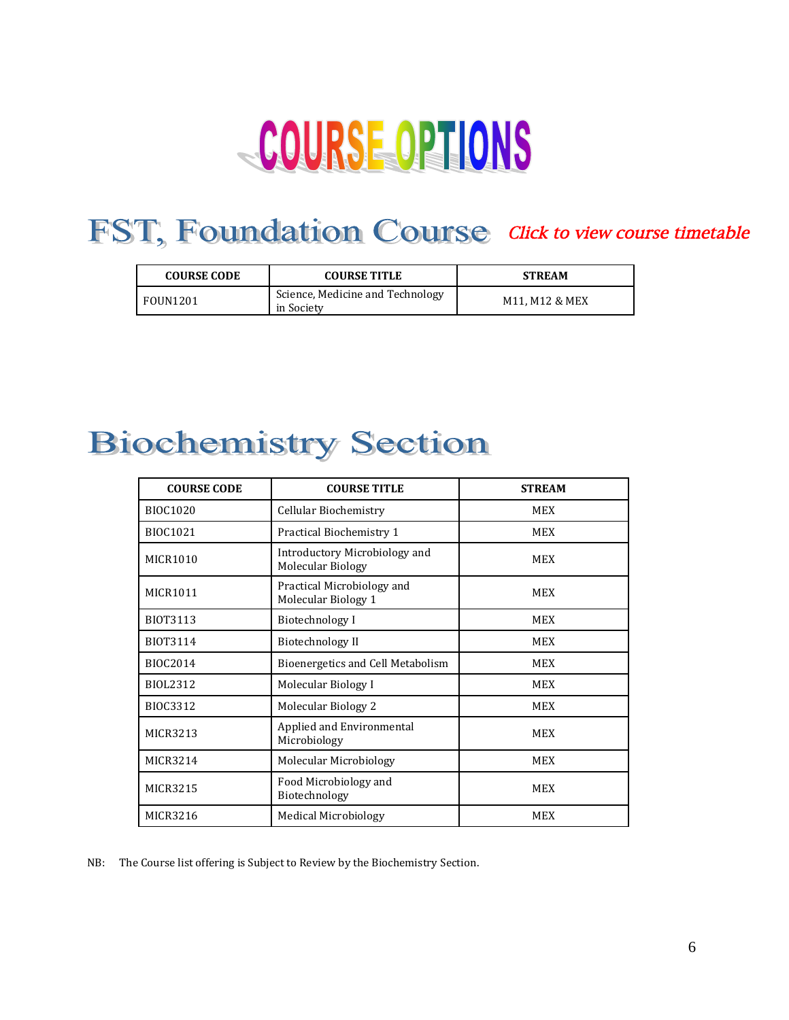# COURSE OPTIONS

### FST, Foundation Course [Click to view course timetable](https://www.mona.uwi.edu/fst/sites/default/files/fpas/uploads/foun1201summertime2018.pdf)

| <b>COURSE CODE</b> | <b>COURSE TITLE</b>                            | <b>STREAM</b>  |
|--------------------|------------------------------------------------|----------------|
| <b>FOUN1201</b>    | Science, Medicine and Technology<br>in Society | M11. M12 & MEX |

# **Biochemistry Section**

| <b>COURSE CODE</b> | <b>COURSE TITLE</b>                                | <b>STREAM</b> |
|--------------------|----------------------------------------------------|---------------|
| <b>BIOC1020</b>    | Cellular Biochemistry                              | <b>MEX</b>    |
| <b>BIOC1021</b>    | Practical Biochemistry 1                           | MEX           |
| <b>MICR1010</b>    | Introductory Microbiology and<br>Molecular Biology | <b>MEX</b>    |
| MICR1011           | Practical Microbiology and<br>Molecular Biology 1  | <b>MEX</b>    |
| <b>BIOT3113</b>    | Biotechnology I                                    | <b>MEX</b>    |
| BIOT3114           | Biotechnology II                                   | <b>MEX</b>    |
| <b>BIOC2014</b>    | Bioenergetics and Cell Metabolism                  | MEX           |
| BIOL2312           | Molecular Biology I                                | <b>MEX</b>    |
| BIOC3312           | Molecular Biology 2                                | <b>MEX</b>    |
| <b>MICR3213</b>    | Applied and Environmental<br>Microbiology          | <b>MEX</b>    |
| <b>MICR3214</b>    | Molecular Microbiology                             | <b>MEX</b>    |
| MICR3215           | Food Microbiology and<br>Biotechnology             | <b>MEX</b>    |
| <b>MICR3216</b>    | <b>Medical Microbiology</b>                        | <b>MEX</b>    |

NB: The Course list offering is Subject to Review by the Biochemistry Section.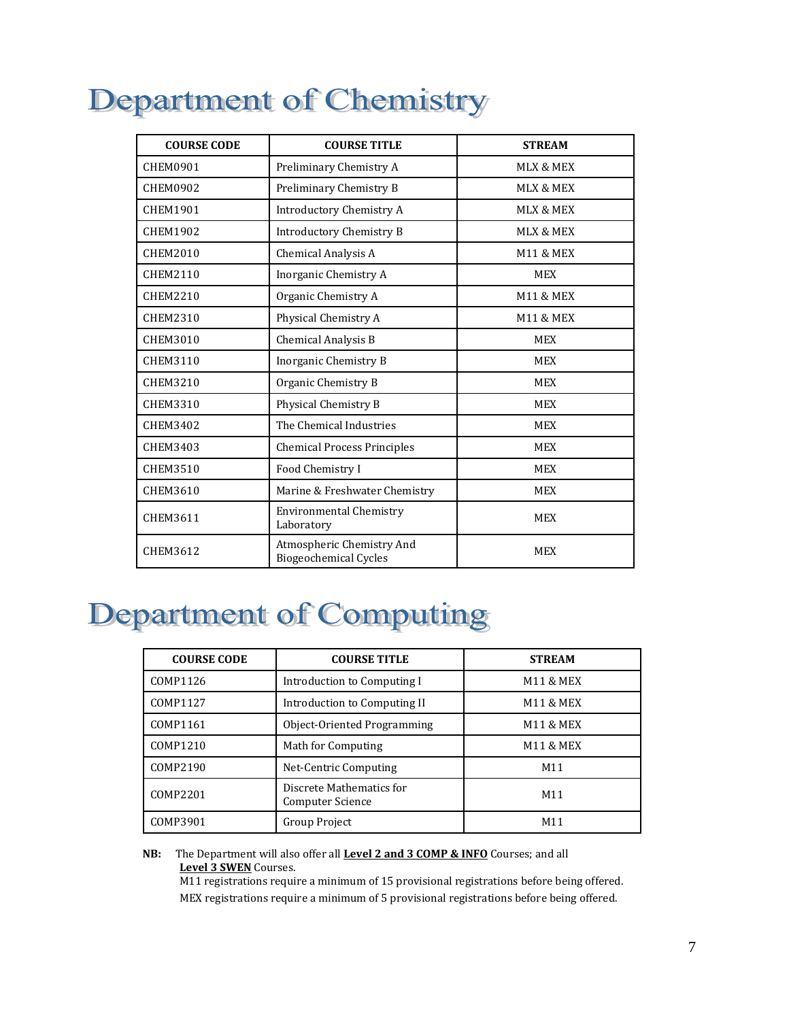# Department of Chemistry

| <b>COURSE CODE</b> | <b>COURSE TITLE</b>                                       | <b>STREAM</b>        |
|--------------------|-----------------------------------------------------------|----------------------|
| <b>CHEM0901</b>    | Preliminary Chemistry A                                   | <b>MLX &amp; MEX</b> |
| <b>CHEM0902</b>    | Preliminary Chemistry B                                   | <b>MLX &amp; MEX</b> |
| CHEM1901           | Introductory Chemistry A                                  | <b>MLX &amp; MEX</b> |
| <b>CHEM1902</b>    | <b>Introductory Chemistry B</b>                           | <b>MLX &amp; MEX</b> |
| <b>CHEM2010</b>    | Chemical Analysis A                                       | <b>M11 &amp; MEX</b> |
| CHEM2110           | Inorganic Chemistry A                                     | <b>MEX</b>           |
| CHEM2210           | Organic Chemistry A                                       | <b>M11 &amp; MEX</b> |
| <b>CHEM2310</b>    | Physical Chemistry A                                      | <b>M11 &amp; MEX</b> |
| CHEM3010           | Chemical Analysis B                                       | <b>MEX</b>           |
| CHEM3110           | Inorganic Chemistry B                                     | <b>MEX</b>           |
| <b>CHEM3210</b>    | Organic Chemistry B                                       | <b>MEX</b>           |
| CHEM3310           | Physical Chemistry B                                      | <b>MEX</b>           |
| CHEM3402           | The Chemical Industries                                   | <b>MEX</b>           |
| CHEM3403           | <b>Chemical Process Principles</b>                        | <b>MEX</b>           |
| <b>CHEM3510</b>    | Food Chemistry I                                          | <b>MEX</b>           |
| CHEM3610           | Marine & Freshwater Chemistry                             | <b>MEX</b>           |
| CHEM3611           | <b>Environmental Chemistry</b><br>Laboratory              | <b>MEX</b>           |
| CHEM3612           | Atmospheric Chemistry And<br><b>Biogeochemical Cycles</b> | <b>MEX</b>           |

# Department of Computing

| <b>COURSE CODE</b> | <b>COURSE TITLE</b>                          | <b>STREAM</b>        |
|--------------------|----------------------------------------------|----------------------|
| COMP1126           | Introduction to Computing I                  | M11 & MEX            |
| COMP1127           | Introduction to Computing II                 | <b>M11 &amp; MEX</b> |
| COMP1161           | Object-Oriented Programming                  | <b>M11 &amp; MEX</b> |
| COMP1210           | Math for Computing                           | M11 & MEX            |
| COMP2190           | Net-Centric Computing                        | M <sub>11</sub>      |
| COMP2201           | Discrete Mathematics for<br>Computer Science | M11                  |
| COMP3901           | Group Project                                | M <sub>11</sub>      |

#### **NB:** The Department will also offer all **Level 2 and 3 COMP & INFO** Courses; and all **Level 3 SWEN** Courses.

 M11 registrations require a minimum of 15 provisional registrations before being offered. MEX registrations require a minimum of 5 provisional registrations before being offered.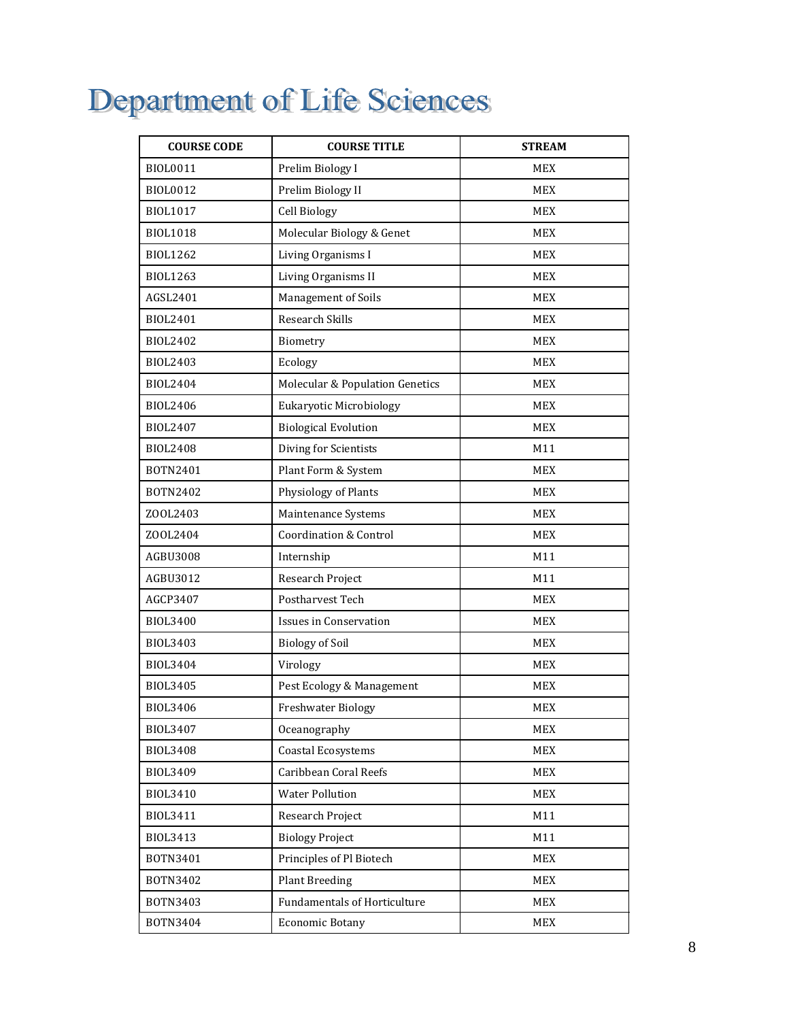# Department of Life Sciences

| <b>COURSE CODE</b> | <b>COURSE TITLE</b>                 | <b>STREAM</b> |
|--------------------|-------------------------------------|---------------|
| BIOL0011           | Prelim Biology I                    | MEX           |
| <b>BIOL0012</b>    | Prelim Biology II                   | MEX           |
| BIOL1017           | Cell Biology                        | <b>MEX</b>    |
| <b>BIOL1018</b>    | Molecular Biology & Genet           | <b>MEX</b>    |
| <b>BIOL1262</b>    | Living Organisms I                  | <b>MEX</b>    |
| <b>BIOL1263</b>    | Living Organisms II                 | <b>MEX</b>    |
| AGSL2401           | Management of Soils                 | MEX           |
| BIOL2401           | Research Skills                     | <b>MEX</b>    |
| BIOL2402           | Biometry                            | <b>MEX</b>    |
| <b>BIOL2403</b>    | Ecology                             | <b>MEX</b>    |
| BIOL2404           | Molecular & Population Genetics     | <b>MEX</b>    |
| <b>BIOL2406</b>    | <b>Eukaryotic Microbiology</b>      | MEX           |
| BIOL2407           | <b>Biological Evolution</b>         | <b>MEX</b>    |
| <b>BIOL2408</b>    | Diving for Scientists               | M11           |
| BOTN2401           | Plant Form & System                 | <b>MEX</b>    |
| BOTN2402           | Physiology of Plants                | <b>MEX</b>    |
| Z00L2403           | Maintenance Systems                 | <b>MEX</b>    |
| Z00L2404           | <b>Coordination &amp; Control</b>   | <b>MEX</b>    |
| AGBU3008           | Internship                          | M11           |
| AGBU3012           | Research Project                    | M11           |
| AGCP3407           | Postharvest Tech                    | <b>MEX</b>    |
| <b>BIOL3400</b>    | <b>Issues in Conservation</b>       | <b>MEX</b>    |
| BIOL3403           | <b>Biology of Soil</b>              | <b>MEX</b>    |
| <b>BIOL3404</b>    | Virology                            | <b>MEX</b>    |
| <b>BIOL3405</b>    | Pest Ecology & Management           | <b>MEX</b>    |
| <b>BIOL3406</b>    | <b>Freshwater Biology</b>           | <b>MEX</b>    |
| BIOL3407           | Oceanography                        | MEX           |
| <b>BIOL3408</b>    | <b>Coastal Ecosystems</b>           | MEX           |
| BIOL3409           | Caribbean Coral Reefs               | <b>MEX</b>    |
| <b>BIOL3410</b>    | <b>Water Pollution</b>              | <b>MEX</b>    |
| BIOL3411           | Research Project                    | M11           |
| BIOL3413           | <b>Biology Project</b>              | M11           |
| BOTN3401           | Principles of Pl Biotech            | MEX           |
| BOTN3402           | <b>Plant Breeding</b>               | MEX           |
| BOTN3403           | <b>Fundamentals of Horticulture</b> | MEX           |
| BOTN3404           | <b>Economic Botany</b>              | $MEX$         |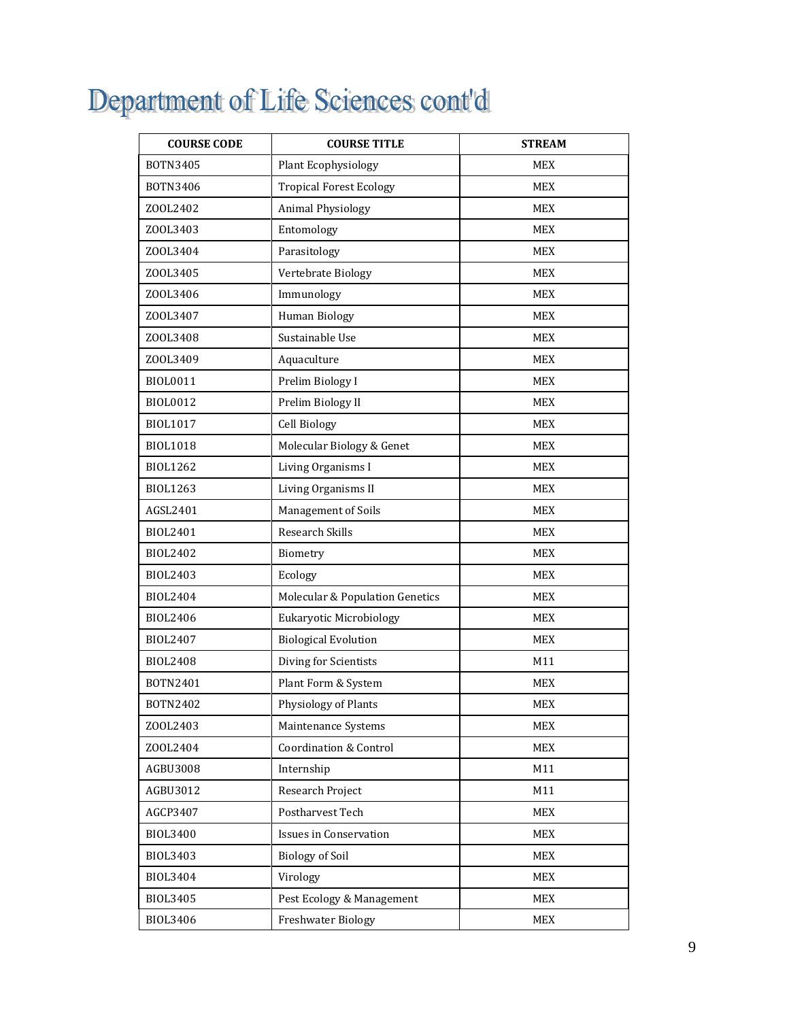# Department of Life Sciences cont'd

| <b>COURSE CODE</b> | <b>COURSE TITLE</b>               | <b>STREAM</b> |
|--------------------|-----------------------------------|---------------|
| BOTN3405           | Plant Ecophysiology               | <b>MEX</b>    |
| BOTN3406           | <b>Tropical Forest Ecology</b>    | <b>MEX</b>    |
| ZOOL2402           | <b>Animal Physiology</b>          | <b>MEX</b>    |
| Z00L3403           | Entomology                        | <b>MEX</b>    |
| Z00L3404           | Parasitology                      | <b>MEX</b>    |
| Z00L3405           | Vertebrate Biology                | <b>MEX</b>    |
| Z00L3406           | Immunology                        | MEX           |
| ZOOL3407           | Human Biology                     | <b>MEX</b>    |
| Z00L3408           | Sustainable Use                   | <b>MEX</b>    |
| Z00L3409           | Aquaculture                       | <b>MEX</b>    |
| BIOL0011           | Prelim Biology I                  | <b>MEX</b>    |
| BIOL0012           | Prelim Biology II                 | <b>MEX</b>    |
| <b>BIOL1017</b>    | Cell Biology                      | <b>MEX</b>    |
| <b>BIOL1018</b>    | Molecular Biology & Genet         | <b>MEX</b>    |
| <b>BIOL1262</b>    | Living Organisms I                | <b>MEX</b>    |
| <b>BIOL1263</b>    | Living Organisms II               | <b>MEX</b>    |
| AGSL2401           | Management of Soils               | <b>MEX</b>    |
| BIOL2401           | <b>Research Skills</b>            | <b>MEX</b>    |
| <b>BIOL2402</b>    | Biometry                          | <b>MEX</b>    |
| BIOL2403           | Ecology                           | <b>MEX</b>    |
| <b>BIOL2404</b>    | Molecular & Population Genetics   | <b>MEX</b>    |
| <b>BIOL2406</b>    | Eukaryotic Microbiology           | <b>MEX</b>    |
| BIOL2407           | <b>Biological Evolution</b>       | <b>MEX</b>    |
| <b>BIOL2408</b>    | Diving for Scientists             | M11           |
| BOTN2401           | Plant Form & System               | <b>MEX</b>    |
| BOTN2402           | Physiology of Plants              | <b>MEX</b>    |
| Z00L2403           | Maintenance Systems               | MEX           |
| Z00L2404           | <b>Coordination &amp; Control</b> | <b>MEX</b>    |
| AGBU3008           | Internship                        | M11           |
| AGBU3012           | Research Project                  | M11           |
| AGCP3407           | Postharvest Tech                  | MEX           |
| <b>BIOL3400</b>    | <b>Issues in Conservation</b>     | MEX           |
| <b>BIOL3403</b>    | <b>Biology of Soil</b>            | <b>MEX</b>    |
| <b>BIOL3404</b>    | Virology                          | <b>MEX</b>    |
| <b>BIOL3405</b>    | Pest Ecology & Management         | MEX           |
| BIOL3406           | Freshwater Biology                | MEX           |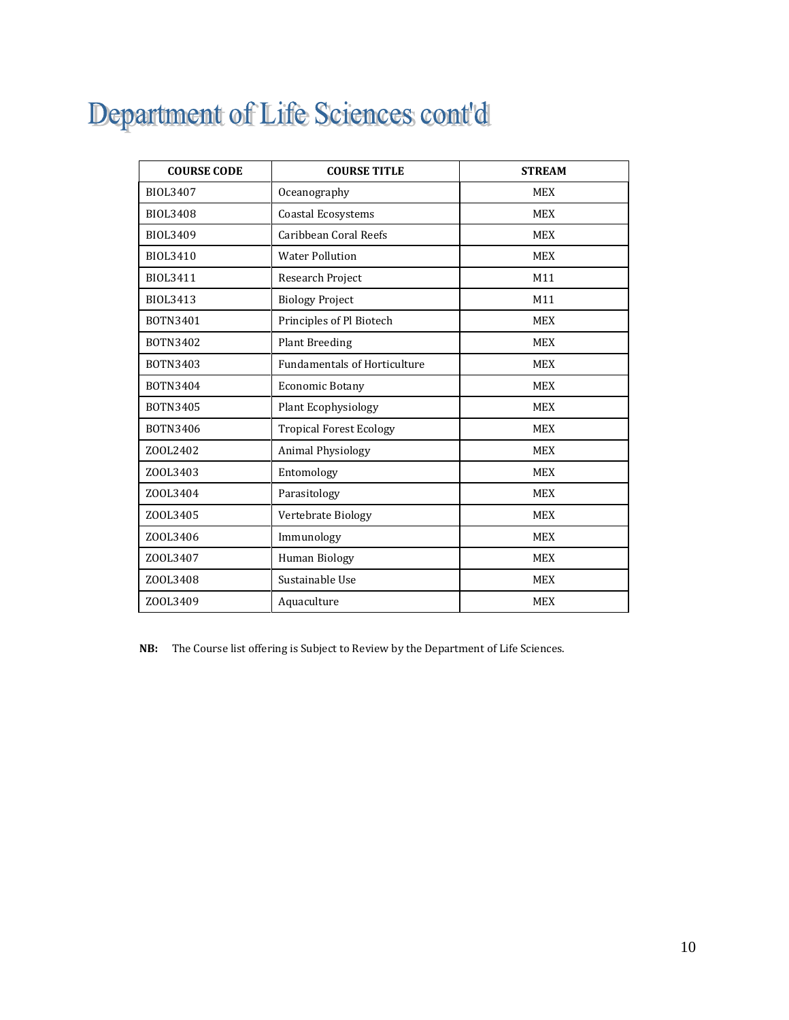# Department of Life Sciences cont'd

| <b>COURSE CODE</b> | <b>COURSE TITLE</b>                 | <b>STREAM</b> |
|--------------------|-------------------------------------|---------------|
| <b>BIOL3407</b>    | Oceanography                        | <b>MEX</b>    |
| <b>BIOL3408</b>    | <b>Coastal Ecosystems</b>           | <b>MEX</b>    |
| BIOL3409           | Caribbean Coral Reefs               | <b>MEX</b>    |
| <b>BIOL3410</b>    | <b>Water Pollution</b>              | <b>MEX</b>    |
| BIOL3411           | Research Project                    | M11           |
| BIOL3413           | <b>Biology Project</b>              | M11           |
| BOTN3401           | Principles of Pl Biotech            | <b>MEX</b>    |
| BOTN3402           | Plant Breeding                      | <b>MEX</b>    |
| BOTN3403           | <b>Fundamentals of Horticulture</b> | <b>MEX</b>    |
| BOTN3404           | <b>Economic Botany</b>              | <b>MEX</b>    |
| BOTN3405           | Plant Ecophysiology                 | <b>MEX</b>    |
| BOTN3406           | <b>Tropical Forest Ecology</b>      | <b>MEX</b>    |
| ZOOL2402           | <b>Animal Physiology</b>            | <b>MEX</b>    |
| ZOOL3403           | Entomology                          | <b>MEX</b>    |
| ZOOL3404           | Parasitology                        | <b>MEX</b>    |
| Z00L3405           | Vertebrate Biology                  | <b>MEX</b>    |
| Z00L3406           | Immunology                          | <b>MEX</b>    |
| Z00L3407           | Human Biology                       | <b>MEX</b>    |
| Z00L3408           | Sustainable Use                     | <b>MEX</b>    |
| Z00L3409           | Aquaculture                         | <b>MEX</b>    |

**NB:** The Course list offering is Subject to Review by the Department of Life Sciences.